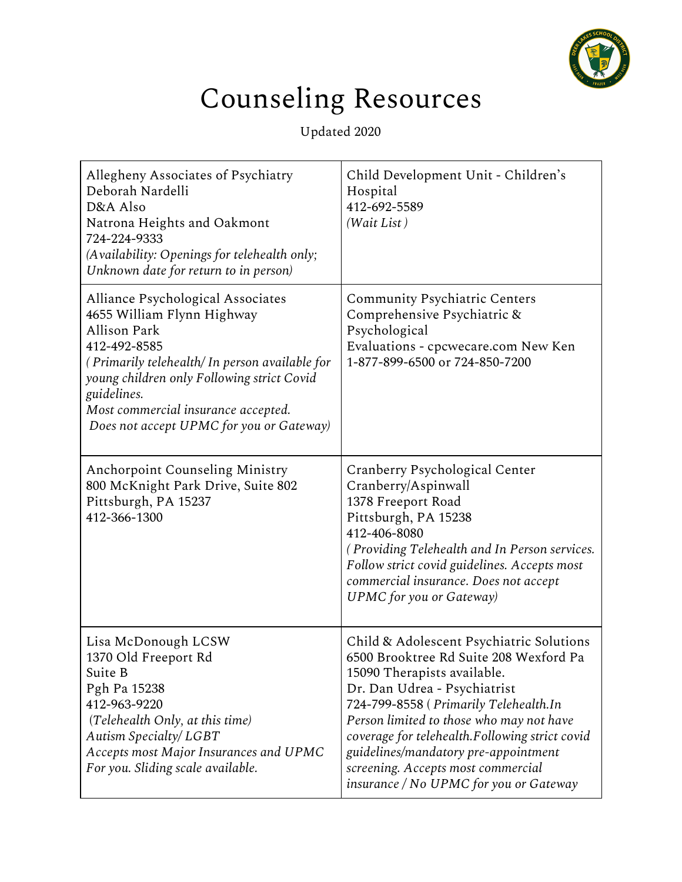

## Counseling Resources

Updated 2020

| Allegheny Associates of Psychiatry<br>Deborah Nardelli<br>D&A Also<br>Natrona Heights and Oakmont<br>724-224-9333<br>(Availability: Openings for telehealth only;<br>Unknown date for return to in person)                                                                                              | Child Development Unit - Children's<br>Hospital<br>412-692-5589<br>(Wait List)                                                                                                                                                                                                                                                                                                                                   |
|---------------------------------------------------------------------------------------------------------------------------------------------------------------------------------------------------------------------------------------------------------------------------------------------------------|------------------------------------------------------------------------------------------------------------------------------------------------------------------------------------------------------------------------------------------------------------------------------------------------------------------------------------------------------------------------------------------------------------------|
| Alliance Psychological Associates<br>4655 William Flynn Highway<br><b>Allison Park</b><br>412-492-8585<br>(Primarily telehealth/In person available for<br>young children only Following strict Covid<br>guidelines.<br>Most commercial insurance accepted.<br>Does not accept UPMC for you or Gateway) | <b>Community Psychiatric Centers</b><br>Comprehensive Psychiatric &<br>Psychological<br>Evaluations - cpcwecare.com New Ken<br>1-877-899-6500 or 724-850-7200                                                                                                                                                                                                                                                    |
| <b>Anchorpoint Counseling Ministry</b><br>800 McKnight Park Drive, Suite 802<br>Pittsburgh, PA 15237<br>412-366-1300                                                                                                                                                                                    | Cranberry Psychological Center<br>Cranberry/Aspinwall<br>1378 Freeport Road<br>Pittsburgh, PA 15238<br>412-406-8080<br>(Providing Telehealth and In Person services.<br>Follow strict covid guidelines. Accepts most<br>commercial insurance. Does not accept<br><b>UPMC</b> for you or Gateway)                                                                                                                 |
| Lisa McDonough LCSW<br>1370 Old Freeport Rd<br>Suite B<br>Pgh Pa 15238<br>412-963-9220<br>(Telehealth Only, at this time)<br>Autism Specialty/ LGBT<br>Accepts most Major Insurances and UPMC<br>For you. Sliding scale available.                                                                      | Child & Adolescent Psychiatric Solutions<br>6500 Brooktree Rd Suite 208 Wexford Pa<br>15090 Therapists available.<br>Dr. Dan Udrea - Psychiatrist<br>724-799-8558 (Primarily Telehealth.In<br>Person limited to those who may not have<br>coverage for telehealth.Following strict covid<br>guidelines/mandatory pre-appointment<br>screening. Accepts most commercial<br>insurance / No UPMC for you or Gateway |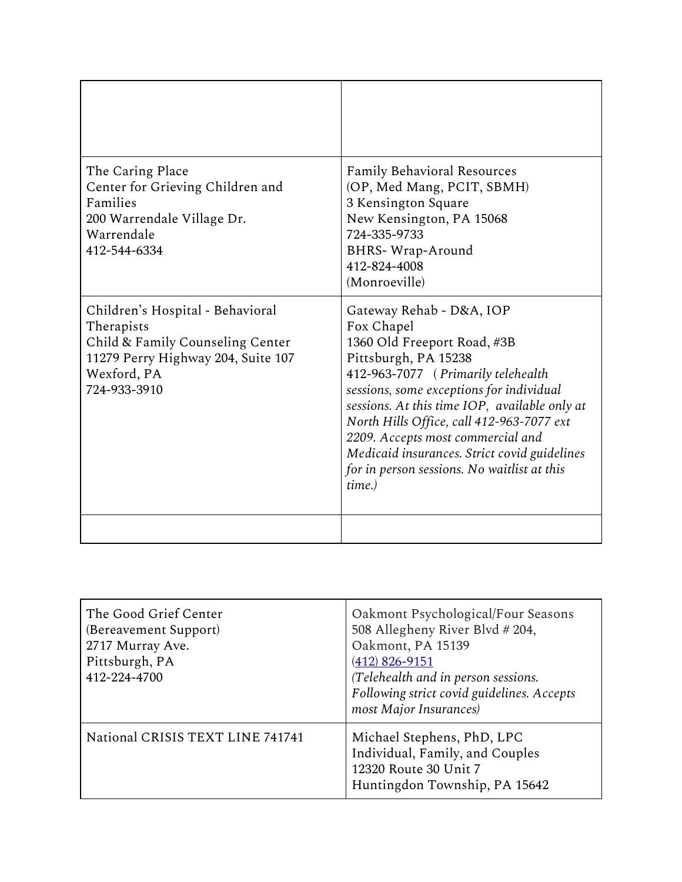| The Caring Place<br>Center for Grieving Children and<br>Families<br>200 Warrendale Village Dr.<br>Warrendale<br>412-544-6334                            | <b>Family Behavioral Resources</b><br>(OP, Med Mang, PCIT, SBMH)<br>3 Kensington Square<br>New Kensington, PA 15068<br>724-335-9733<br><b>BHRS-Wrap-Around</b><br>412-824-4008<br>(Monroeville)                                                                                                                                                                                                                             |
|---------------------------------------------------------------------------------------------------------------------------------------------------------|-----------------------------------------------------------------------------------------------------------------------------------------------------------------------------------------------------------------------------------------------------------------------------------------------------------------------------------------------------------------------------------------------------------------------------|
| Children's Hospital - Behavioral<br>Therapists<br>Child & Family Counseling Center<br>11279 Perry Highway 204, Suite 107<br>Wexford, PA<br>724-933-3910 | Gateway Rehab - D&A, IOP<br>Fox Chapel<br>1360 Old Freeport Road, #3B<br>Pittsburgh, PA 15238<br>412-963-7077 (Primarily telehealth<br>sessions, some exceptions for individual<br>sessions. At this time IOP, available only at<br>North Hills Office, call 412-963-7077 ext<br>2209. Accepts most commercial and<br>Medicaid insurances. Strict covid guidelines<br>for in person sessions. No waitlist at this<br>time.) |
|                                                                                                                                                         |                                                                                                                                                                                                                                                                                                                                                                                                                             |

| The Good Grief Center<br>(Bereavement Support)<br>2717 Murray Ave.<br>Pittsburgh, PA<br>412-224-4700 | Oakmont Psychological/Four Seasons<br>508 Allegheny River Blvd # 204,<br>Oakmont, PA 15139<br>$(412)$ 826-9151<br>(Telehealth and in person sessions.<br>Following strict covid guidelines. Accepts<br>most Major Insurances) |
|------------------------------------------------------------------------------------------------------|-------------------------------------------------------------------------------------------------------------------------------------------------------------------------------------------------------------------------------|
| National CRISIS TEXT LINE 741741                                                                     | Michael Stephens, PhD, LPC<br>Individual, Family, and Couples<br>12320 Route 30 Unit 7<br>Huntingdon Township, PA 15642                                                                                                       |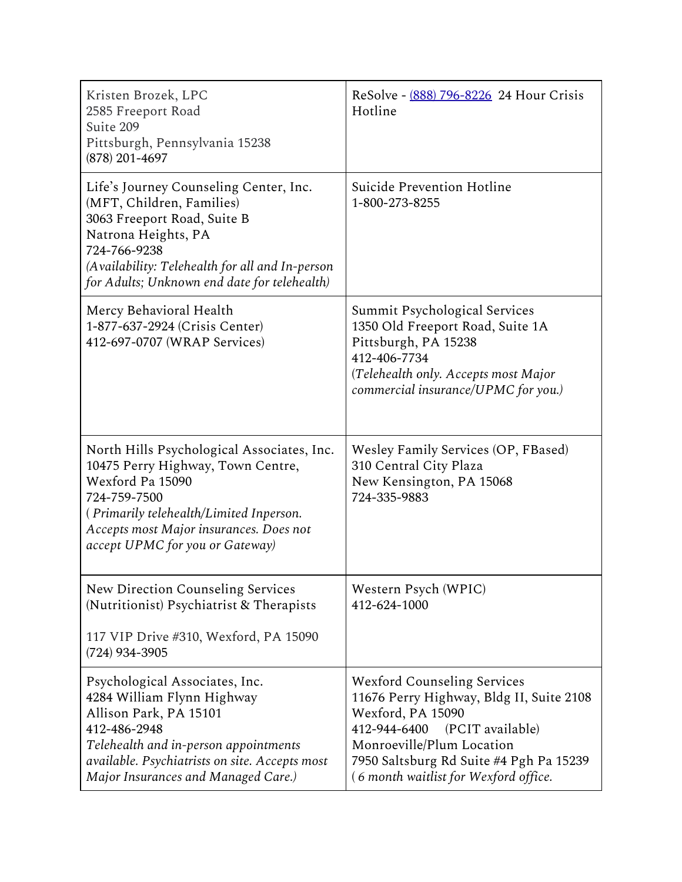| Kristen Brozek, LPC<br>2585 Freeport Road<br>Suite 209<br>Pittsburgh, Pennsylvania 15238<br>$(878)$ 201-4697                                                                                                                                 | ReSolve - (888) 796-8226 24 Hour Crisis<br>Hotline                                                                                                                                                                                                       |
|----------------------------------------------------------------------------------------------------------------------------------------------------------------------------------------------------------------------------------------------|----------------------------------------------------------------------------------------------------------------------------------------------------------------------------------------------------------------------------------------------------------|
| Life's Journey Counseling Center, Inc.<br>(MFT, Children, Families)<br>3063 Freeport Road, Suite B<br>Natrona Heights, PA<br>724-766-9238<br>(Availability: Telehealth for all and In-person<br>for Adults; Unknown end date for telehealth) | Suicide Prevention Hotline<br>1-800-273-8255                                                                                                                                                                                                             |
| Mercy Behavioral Health<br>1-877-637-2924 (Crisis Center)<br>412-697-0707 (WRAP Services)                                                                                                                                                    | Summit Psychological Services<br>1350 Old Freeport Road, Suite 1A<br>Pittsburgh, PA 15238<br>412-406-7734<br>(Telehealth only. Accepts most Major<br>commercial insurance/UPMC for you.)                                                                 |
| North Hills Psychological Associates, Inc.<br>10475 Perry Highway, Town Centre,<br>Wexford Pa 15090<br>724-759-7500<br>(Primarily telehealth/Limited Inperson.<br>Accepts most Major insurances. Does not<br>accept UPMC for you or Gateway) | Wesley Family Services (OP, FBased)<br>310 Central City Plaza<br>New Kensington, PA 15068<br>724-335-9883                                                                                                                                                |
| New Direction Counseling Services<br>(Nutritionist) Psychiatrist & Therapists<br>117 VIP Drive #310, Wexford, PA 15090<br>$(724)$ 934-3905                                                                                                   | Western Psych (WPIC)<br>412-624-1000                                                                                                                                                                                                                     |
| Psychological Associates, Inc.<br>4284 William Flynn Highway<br>Allison Park, PA 15101<br>412-486-2948<br>Telehealth and in-person appointments<br>available. Psychiatrists on site. Accepts most<br>Major Insurances and Managed Care.)     | <b>Wexford Counseling Services</b><br>11676 Perry Highway, Bldg II, Suite 2108<br>Wexford, PA 15090<br>412-944-6400<br>(PCIT available)<br>Monroeville/Plum Location<br>7950 Saltsburg Rd Suite #4 Pgh Pa 15239<br>(6 month waitlist for Wexford office. |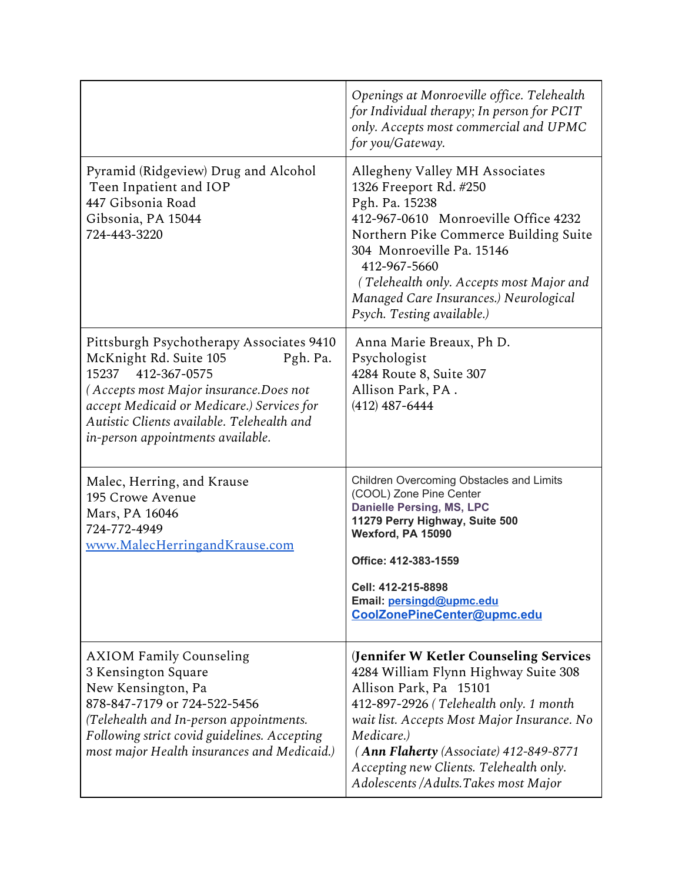|                                                                                                                                                                                                                                                                                    | Openings at Monroeville office. Telehealth<br>for Individual therapy; In person for PCIT<br>only. Accepts most commercial and UPMC<br>for you/Gateway.                                                                                                                                                                                       |
|------------------------------------------------------------------------------------------------------------------------------------------------------------------------------------------------------------------------------------------------------------------------------------|----------------------------------------------------------------------------------------------------------------------------------------------------------------------------------------------------------------------------------------------------------------------------------------------------------------------------------------------|
| Pyramid (Ridgeview) Drug and Alcohol<br>Teen Inpatient and IOP<br>447 Gibsonia Road<br>Gibsonia, PA 15044<br>724-443-3220                                                                                                                                                          | Allegheny Valley MH Associates<br>1326 Freeport Rd. #250<br>Pgh. Pa. 15238<br>412-967-0610 Monroeville Office 4232<br>Northern Pike Commerce Building Suite<br>304 Monroeville Pa. 15146<br>412-967-5660<br>(Telehealth only. Accepts most Major and<br>Managed Care Insurances.) Neurological<br>Psych. Testing available.)                 |
| Pittsburgh Psychotherapy Associates 9410<br>McKnight Rd. Suite 105<br>Pgh. Pa.<br>15237<br>412-367-0575<br>(Accepts most Major insurance.Does not<br>accept Medicaid or Medicare.) Services for<br>Autistic Clients available. Telehealth and<br>in-person appointments available. | Anna Marie Breaux, Ph D.<br>Psychologist<br>4284 Route 8, Suite 307<br>Allison Park, PA.<br>$(412)$ 487-6444                                                                                                                                                                                                                                 |
| Malec, Herring, and Krause<br>195 Crowe Avenue<br>Mars, PA 16046<br>724-772-4949<br>www.MalecHerringandKrause.com                                                                                                                                                                  | Children Overcoming Obstacles and Limits<br>(COOL) Zone Pine Center<br><b>Danielle Persing, MS, LPC</b><br>11279 Perry Highway, Suite 500<br>Wexford, PA 15090<br>Office: 412-383-1559<br>Cell: 412-215-8898<br>Email: persingd@upmc.edu<br>CoolZonePineCenter@upmc.edu                                                                      |
| <b>AXIOM Family Counseling</b><br>3 Kensington Square<br>New Kensington, Pa<br>878-847-7179 or 724-522-5456<br>(Telehealth and In-person appointments.<br>Following strict covid guidelines. Accepting<br>most major Health insurances and Medicaid.)                              | (Jennifer W Ketler Counseling Services<br>4284 William Flynn Highway Suite 308<br>Allison Park, Pa 15101<br>412-897-2926 (Telehealth only. 1 month<br>wait list. Accepts Most Major Insurance. No<br>Medicare.)<br>(Ann Flaherty (Associate) 412-849-8771<br>Accepting new Clients. Telehealth only.<br>Adolescents /Adults.Takes most Major |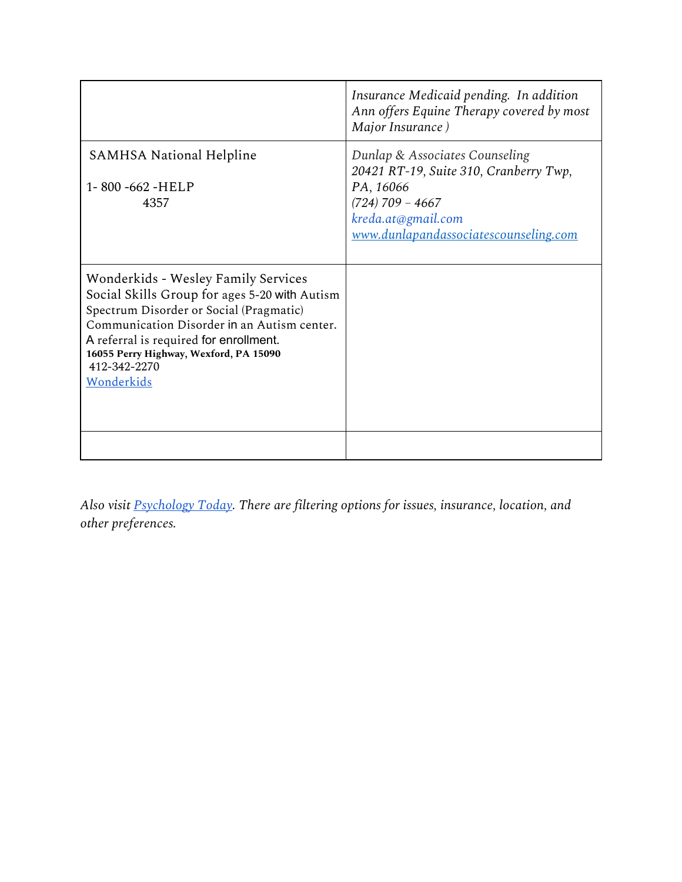|                                                                                                                                                                                                                                                                                                         | Insurance Medicaid pending. In addition<br>Ann offers Equine Therapy covered by most<br>Major Insurance)                                                                          |
|---------------------------------------------------------------------------------------------------------------------------------------------------------------------------------------------------------------------------------------------------------------------------------------------------------|-----------------------------------------------------------------------------------------------------------------------------------------------------------------------------------|
| <b>SAMHSA National Helpline</b><br>1-800-662-HELP<br>4357                                                                                                                                                                                                                                               | Dunlap & Associates Counseling<br>20421 RT-19, Suite 310, Cranberry Twp,<br>PA, 16066<br>$(724)$ 709 - 4667<br>kreda.at@gmail.com<br><u>www.dunlapandassociatescounseling.com</u> |
| <b>Wonderkids - Wesley Family Services</b><br>Social Skills Group for ages 5-20 with Autism<br>Spectrum Disorder or Social (Pragmatic)<br>Communication Disorder in an Autism center.<br>A referral is required for enrollment.<br>16055 Perry Highway, Wexford, PA 15090<br>412-342-2270<br>Wonderkids |                                                                                                                                                                                   |
|                                                                                                                                                                                                                                                                                                         |                                                                                                                                                                                   |

*Also visit [Psychology](https://www.psychologytoday.com/us) Today. There are filtering options for issues, insurance, location, and other preferences.*